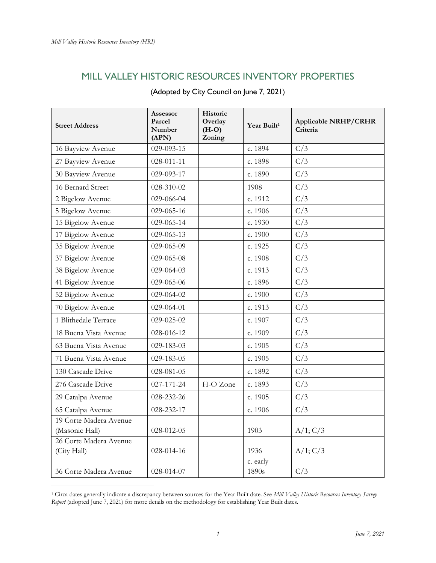## MILL VALLEY HISTORIC RESOURCES INVENTORY PROPERTIES

| <b>Street Address</b>                    | Assessor<br>Parcel<br>Number<br>(APN) | Historic<br>Overlay<br>$(H-O)$<br>Zoning | Year Built <sup>1</sup> | Applicable NRHP/CRHR<br>Criteria |
|------------------------------------------|---------------------------------------|------------------------------------------|-------------------------|----------------------------------|
| 16 Bayview Avenue                        | 029-093-15                            |                                          | c. 1894                 | C/3                              |
| 27 Bayview Avenue                        | 028-011-11                            |                                          | c. 1898                 | C/3                              |
| 30 Bayview Avenue                        | 029-093-17                            |                                          | c. 1890                 | C/3                              |
| 16 Bernard Street                        | 028-310-02                            |                                          | 1908                    | C/3                              |
| 2 Bigelow Avenue                         | 029-066-04                            |                                          | c. 1912                 | C/3                              |
| 5 Bigelow Avenue                         | 029-065-16                            |                                          | c. 1906                 | C/3                              |
| 15 Bigelow Avenue                        | 029-065-14                            |                                          | c. 1930                 | C/3                              |
| 17 Bigelow Avenue                        | 029-065-13                            |                                          | c. 1900                 | C/3                              |
| 35 Bigelow Avenue                        | 029-065-09                            |                                          | c. 1925                 | C/3                              |
| 37 Bigelow Avenue                        | 029-065-08                            |                                          | c. 1908                 | C/3                              |
| 38 Bigelow Avenue                        | 029-064-03                            |                                          | c. 1913                 | C/3                              |
| 41 Bigelow Avenue                        | 029-065-06                            |                                          | c. 1896                 | C/3                              |
| 52 Bigelow Avenue                        | 029-064-02                            |                                          | c. 1900                 | C/3                              |
| 70 Bigelow Avenue                        | 029-064-01                            |                                          | c. 1913                 | C/3                              |
| 1 Blithedale Terrace                     | 029-025-02                            |                                          | c. $1907$               | C/3                              |
| 18 Buena Vista Avenue                    | 028-016-12                            |                                          | c. 1909                 | C/3                              |
| 63 Buena Vista Avenue                    | 029-183-03                            |                                          | c. 1905                 | C/3                              |
| 71 Buena Vista Avenue                    | 029-183-05                            |                                          | c. 1905                 | C/3                              |
| 130 Cascade Drive                        | 028-081-05                            |                                          | c. 1892                 | C/3                              |
| 276 Cascade Drive                        | 027-171-24                            | H-O Zone                                 | c. 1893                 | C/3                              |
| 29 Catalpa Avenue                        | 028-232-26                            |                                          | c. 1905                 | C/3                              |
| 65 Catalpa Avenue                        | 028-232-17                            |                                          | c. 1906                 | C/3                              |
| 19 Corte Madera Avenue<br>(Masonic Hall) | 028-012-05                            |                                          | 1903                    | A/1; C/3                         |
| 26 Corte Madera Avenue<br>(City Hall)    | 028-014-16                            |                                          | 1936                    | A/1; C/3                         |
| 36 Corte Madera Avenue                   | 028-014-07                            |                                          | c. early<br>1890s       | C/3                              |

<sup>1</sup> Circa dates generally indicate a discrepancy between sources for the Year Built date. See *Mill Valley Historic Resources Inventory Survey Report* (adopted June 7, 2021) for more details on the methodology for establishing Year Built dates.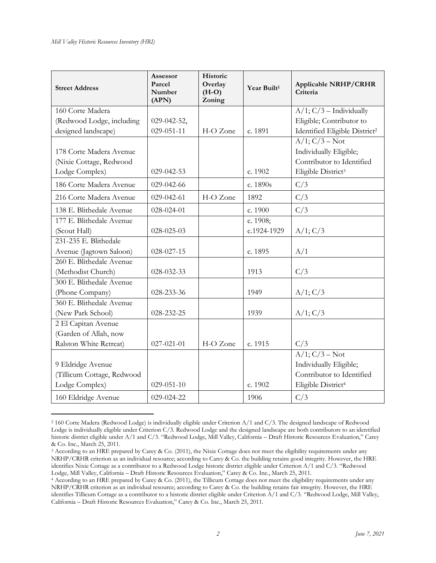| <b>Street Address</b>      | <b>Assessor</b><br>Parcel<br>Number<br>(APN) | Historic<br>Overlay<br>$(H-O)$<br>Zoning | Year Built <sup>1</sup> | <b>Applicable NRHP/CRHR</b><br>Criteria   |
|----------------------------|----------------------------------------------|------------------------------------------|-------------------------|-------------------------------------------|
| 160 Corte Madera           |                                              |                                          |                         | $A/1$ ; $C/3$ – Individually              |
| (Redwood Lodge, including  | 029-042-52,                                  |                                          |                         | Eligible; Contributor to                  |
| designed landscape)        | $029 - 051 - 11$                             | H-O Zone                                 | c. 1891                 | Identified Eligible District <sup>2</sup> |
|                            |                                              |                                          |                         | $A/1$ ; $C/3 - Not$                       |
| 178 Corte Madera Avenue    |                                              |                                          |                         | Individually Eligible;                    |
| (Nixie Cottage, Redwood    |                                              |                                          |                         | Contributor to Identified                 |
| Lodge Complex)             | 029-042-53                                   |                                          | c. 1902                 | Eligible District <sup>3</sup>            |
| 186 Corte Madera Avenue    | 029-042-66                                   |                                          | c. 1890s                | C/3                                       |
| 216 Corte Madera Avenue    | 029-042-61                                   | H-O Zone                                 | 1892                    | C/3                                       |
| 138 E. Blithedale Avenue   | 028-024-01                                   |                                          | c. 1900                 | C/3                                       |
| 177 E. Blithedale Avenue   |                                              |                                          | c. 1908;                |                                           |
| (Scout Hall)               | $028 - 025 - 03$                             |                                          | c.1924-1929             | A/1; C/3                                  |
| 231-235 E. Blithedale      |                                              |                                          |                         |                                           |
| Avenue (Jagtown Saloon)    | 028-027-15                                   |                                          | c. 1895                 | A/1                                       |
| 260 E. Blithedale Avenue   |                                              |                                          |                         |                                           |
| (Methodist Church)         | 028-032-33                                   |                                          | 1913                    | C/3                                       |
| 300 E. Blithedale Avenue   |                                              |                                          |                         |                                           |
| (Phone Company)            | 028-233-36                                   |                                          | 1949                    | $A/1$ ; $C/3$                             |
| 360 E. Blithedale Avenue   |                                              |                                          |                         |                                           |
| (New Park School)          | 028-232-25                                   |                                          | 1939                    | A/1; C/3                                  |
| 2 El Capitan Avenue        |                                              |                                          |                         |                                           |
| (Garden of Allah, now      |                                              |                                          |                         |                                           |
| Ralston White Retreat)     | $027 - 021 - 01$                             | H-O Zone                                 | c. 1915                 | C/3                                       |
|                            |                                              |                                          |                         | $A/1$ ; $C/3 - Not$                       |
| 9 Eldridge Avenue          |                                              |                                          |                         | Individually Eligible;                    |
| (Tillicum Cottage, Redwood |                                              |                                          |                         | Contributor to Identified                 |
| Lodge Complex)             | $029 - 051 - 10$                             |                                          | c. 1902                 | Eligible District <sup>4</sup>            |
| 160 Eldridge Avenue        | 029-024-22                                   |                                          | 1906                    | C/3                                       |

<sup>2</sup> 160 Corte Madera (Redwood Lodge) is individually eligible under Criterion A/1 and C/3. The designed landscape of Redwood Lodge is individually eligible under Criterion C/3. Redwood Lodge and the designed landscape are both contributors to an identified historic district eligible under A/1 and C/3. "Redwood Lodge, Mill Valley, California – Draft Historic Resources Evaluation," Carey & Co. Inc., March 25, 2011.

<sup>3</sup> According to an HRE prepared by Carey & Co. (2011), the Nixie Cottage does not meet the eligibility requirements under any NRHP/CRHR criterion as an individual resource; according to Carey & Co. the building retains good integrity. However, the HRE identifies Nixie Cottage as a contributor to a Redwood Lodge historic district eligible under Criterion A/1 and C/3. "Redwood Lodge, Mill Valley, California – Draft Historic Resources Evaluation," Carey & Co. Inc., March 25, 2011.

<sup>4</sup> According to an HRE prepared by Carey & Co. (2011), the Tillicum Cottage does not meet the eligibility requirements under any NRHP/CRHR criterion as an individual resource; according to Carey & Co. the building retains fair integrity. However, the HRE identifies Tillicum Cottage as a contributor to a historic district eligible under Criterion A/1 and C/3. "Redwood Lodge, Mill Valley, California – Draft Historic Resources Evaluation," Carey & Co. Inc., March 25, 2011.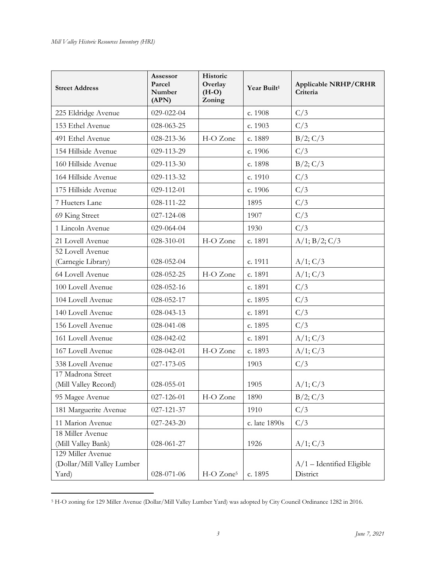| <b>Street Address</b>                                    | Assessor<br>Parcel<br>Number<br>(APN) | Historic<br>Overlay<br>$(H-O)$<br>Zoning | Year Built <sup>1</sup> | <b>Applicable NRHP/CRHR</b><br>Criteria |
|----------------------------------------------------------|---------------------------------------|------------------------------------------|-------------------------|-----------------------------------------|
| 225 Eldridge Avenue                                      | 029-022-04                            |                                          | c. 1908                 | C/3                                     |
| 153 Ethel Avenue                                         | 028-063-25                            |                                          | c. 1903                 | C/3                                     |
| 491 Ethel Avenue                                         | 028-213-36                            | H-O Zone                                 | c. 1889                 | B/2; C/3                                |
| 154 Hillside Avenue                                      | 029-113-29                            |                                          | c. 1906                 | C/3                                     |
| 160 Hillside Avenue                                      | 029-113-30                            |                                          | c. 1898                 | $B/2$ ; $C/3$                           |
| 164 Hillside Avenue                                      | 029-113-32                            |                                          | c. 1910                 | C/3                                     |
| 175 Hillside Avenue                                      | 029-112-01                            |                                          | c. 1906                 | C/3                                     |
| 7 Hueters Lane                                           | 028-111-22                            |                                          | 1895                    | C/3                                     |
| 69 King Street                                           | 027-124-08                            |                                          | 1907                    | C/3                                     |
| 1 Lincoln Avenue                                         | 029-064-04                            |                                          | 1930                    | C/3                                     |
| 21 Lovell Avenue                                         | 028-310-01                            | H-O Zone                                 | c. 1891                 | $A/1$ ; $B/2$ ; $C/3$                   |
| 52 Lovell Avenue<br>(Carnegie Library)                   | 028-052-04                            |                                          | c. 1911                 | $A/1$ ; $C/3$                           |
| 64 Lovell Avenue                                         | 028-052-25                            | H-O Zone                                 | c. 1891                 | A/1; C/3                                |
| 100 Lovell Avenue                                        | 028-052-16                            |                                          | c. 1891                 | C/3                                     |
| 104 Lovell Avenue                                        | 028-052-17                            |                                          | c. 1895                 | C/3                                     |
| 140 Lovell Avenue                                        | 028-043-13                            |                                          | c. 1891                 | C/3                                     |
| 156 Lovell Avenue                                        | 028-041-08                            |                                          | c. 1895                 | C/3                                     |
| 161 Lovell Avenue                                        | 028-042-02                            |                                          | c. 1891                 | $A/1$ ; $C/3$                           |
| 167 Lovell Avenue                                        | 028-042-01                            | H-O Zone                                 | c. 1893                 | $A/1$ ; $C/3$                           |
| 338 Lovell Avenue                                        | 027-173-05                            |                                          | 1903                    | C/3                                     |
| 17 Madrona Street<br>(Mill Valley Record)                | 028-055-01                            |                                          | 1905                    | A/1; C/3                                |
| 95 Magee Avenue                                          | 027-126-01                            | H-O Zone                                 | 1890                    | $B/2$ ; $C/3$                           |
| 181 Marguerite Avenue                                    | 027-121-37                            |                                          | 1910                    | C/3                                     |
| 11 Marion Avenue                                         | 027-243-20                            |                                          | c. late 1890s           | C/3                                     |
| 18 Miller Avenue<br>(Mill Valley Bank)                   | 028-061-27                            |                                          | 1926                    | $A/1$ ; $C/3$                           |
| 129 Miller Avenue<br>(Dollar/Mill Valley Lumber<br>Yard) | 028-071-06                            | H-O Zone <sup>5</sup>                    | c. 1895                 | $A/1$ – Identified Eligible<br>District |

<sup>5</sup> H-O zoning for 129 Miller Avenue (Dollar/Mill Valley Lumber Yard) was adopted by City Council Ordinance 1282 in 2016.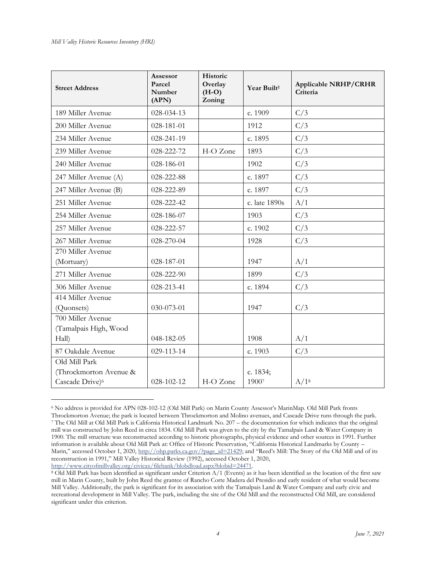| <b>Street Address</b>                                 | <b>Assessor</b><br>Parcel<br>Number<br>(APN) | Historic<br>Overlay<br>$(H-O)$<br>Zoning | Year Built <sup>1</sup> | <b>Applicable NRHP/CRHR</b><br>Criteria |
|-------------------------------------------------------|----------------------------------------------|------------------------------------------|-------------------------|-----------------------------------------|
| 189 Miller Avenue                                     | 028-034-13                                   |                                          | c. 1909                 | C/3                                     |
| 200 Miller Avenue                                     | 028-181-01                                   |                                          | 1912                    | C/3                                     |
| 234 Miller Avenue                                     | 028-241-19                                   |                                          | c. 1895                 | C/3                                     |
| 239 Miller Avenue                                     | 028-222-72                                   | H-O Zone                                 | 1893                    | C/3                                     |
| 240 Miller Avenue                                     | 028-186-01                                   |                                          | 1902                    | C/3                                     |
| 247 Miller Avenue (A)                                 | 028-222-88                                   |                                          | c. 1897                 | C/3                                     |
| 247 Miller Avenue (B)                                 | 028-222-89                                   |                                          | c. 1897                 | C/3                                     |
| 251 Miller Avenue                                     | 028-222-42                                   |                                          | c. late 1890s           | A/1                                     |
| 254 Miller Avenue                                     | 028-186-07                                   |                                          | 1903                    | C/3                                     |
| 257 Miller Avenue                                     | 028-222-57                                   |                                          | c. 1902                 | C/3                                     |
| 267 Miller Avenue                                     | 028-270-04                                   |                                          | 1928                    | C/3                                     |
| 270 Miller Avenue<br>(Mortuary)                       | 028-187-01                                   |                                          | 1947                    | A/1                                     |
| 271 Miller Avenue                                     | 028-222-90                                   |                                          | 1899                    | C/3                                     |
| 306 Miller Avenue                                     | 028-213-41                                   |                                          | c. 1894                 | C/3                                     |
| 414 Miller Avenue<br>(Quonsets)                       | 030-073-01                                   |                                          | 1947                    | C/3                                     |
| 700 Miller Avenue<br>(Tamalpais High, Wood            |                                              |                                          |                         |                                         |
| Hall)                                                 | 048-182-05                                   |                                          | 1908                    | A/1                                     |
| 87 Oakdale Avenue<br>Old Mill Park                    | 029-113-14                                   |                                          | c. 1903                 | C/3                                     |
| (Throckmorton Avenue &<br>Cascade Drive) <sup>6</sup> | 028-102-12                                   | H-O Zone                                 | c. 1834;<br>19007       | A/1 <sup>8</sup>                        |

<sup>6</sup> No address is provided for APN 028-102-12 (Old Mill Park) on Marin County Assessor's MarinMap. Old Mill Park fronts Throckmorton Avenue; the park is located between Throckmorton and Molino avenues, and Cascade Drive runs through the park. <sup>7</sup> The Old Mill at Old Mill Park is California Historical Landmark No. 207 – the documentation for which indicates that the original mill was constructed by John Reed in circa 1834. Old Mill Park was given to the city by the Tamalpais Land & Water Company in 1900. The mill structure was reconstructed according to historic photographs, physical evidence and other sources in 1991. Further information is available about Old Mill Park at: Office of Historic Preservation, "California Historical Landmarks by County – Marin," accessed October 1, 2020, [http://ohp.parks.ca.gov/?page\\_id=21429](http://ohp.parks.ca.gov/?page_id=21429); and "Reed's Mill: The Story of the Old Mill and of its reconstruction in 1991," Mill Valley Historical Review (1992), accessed October 1, 2020, [http://www.cityofmillvalley.org/civicax/filebank/blobdload.aspx?blobid=24471.](http://www.cityofmillvalley.org/civicax/filebank/blobdload.aspx?blobid=24471) 

<sup>8</sup> Old Mill Park has been identified as significant under Criterion A/1 (Events) as it has been identified as the location of the first saw mill in Marin County, built by John Reed the grantee of Rancho Corte Madera del Presidio and early resident of what would become Mill Valley. Additionally, the park is significant for its association with the Tamalpais Land & Water Company and early civic and recreational development in Mill Valley. The park, including the site of the Old Mill and the reconstructed Old Mill, are considered significant under this criterion.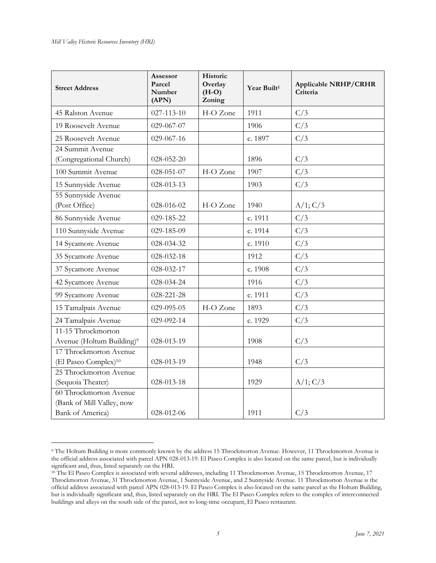| <b>Street Address</b>                                                   | <b>Assessor</b><br>Parcel<br>Number<br>(APN) | Historic<br>Overlay<br>$(H-O)$<br>Zoning | Year Built <sup>1</sup> | <b>Applicable NRHP/CRHR</b><br>Criteria |
|-------------------------------------------------------------------------|----------------------------------------------|------------------------------------------|-------------------------|-----------------------------------------|
| 45 Ralston Avenue                                                       | 027-113-10                                   | H-O Zone                                 | 1911                    | C/3                                     |
| 19 Roosevelt Avenue                                                     | 029-067-07                                   |                                          | 1906                    | C/3                                     |
| 25 Roosevelt Avenue                                                     | 029-067-16                                   |                                          | c. 1897                 | C/3                                     |
| 24 Summit Avenue<br>(Congregational Church)                             | 028-052-20                                   |                                          | 1896                    | C/3                                     |
| 100 Summit Avenue                                                       | 028-051-07                                   | H-O Zone                                 | 1907                    | C/3                                     |
| 15 Sunnyside Avenue                                                     | 028-013-13                                   |                                          | 1903                    | C/3                                     |
| 55 Sunnyside Avenue<br>(Post Office)                                    | 028-016-02                                   | H-O Zone                                 | 1940                    | A/1; C/3                                |
| 86 Sunnyside Avenue                                                     | 029-185-22                                   |                                          | c. 1911                 | C/3                                     |
| 110 Sunnyside Avenue                                                    | 029-185-09                                   |                                          | c. 1914                 | C/3                                     |
| 14 Sycamore Avenue                                                      | 028-034-32                                   |                                          | c. 1910                 | C/3                                     |
| 35 Sycamore Avenue                                                      | 028-032-18                                   |                                          | 1912                    | C/3                                     |
| 37 Sycamore Avenue                                                      | 028-032-17                                   |                                          | c. 1908                 | C/3                                     |
| 42 Sycamore Avenue                                                      | 028-034-24                                   |                                          | 1916                    | C/3                                     |
| 99 Sycamore Avenue                                                      | 028-221-28                                   |                                          | c. 1911                 | C/3                                     |
| 15 Tamalpais Avenue                                                     | 029-095-05                                   | H-O Zone                                 | 1893                    | C/3                                     |
| 24 Tamalpais Avenue                                                     | 029-092-14                                   |                                          | c. 1929                 | C/3                                     |
| 11-15 Throckmorton<br>Avenue (Holtum Building) <sup>9</sup>             | 028-013-19                                   |                                          | 1908                    | C/3                                     |
| 17 Throckmorton Avenue<br>(El Paseo Complex) <sup>10</sup>              | 028-013-19                                   |                                          | 1948                    | C/3                                     |
| 25 Throckmorton Avenue<br>(Sequoia Theater)                             | 028-013-18                                   |                                          | 1929                    | A/1; C/3                                |
| 60 Throckmorton Avenue<br>(Bank of Mill Valley, now<br>Bank of America) | 028-012-06                                   |                                          | 1911                    | C/3                                     |

<sup>9</sup> The Holtum Building is more commonly known by the address 15 Throckmorton Avenue. However, 11 Throckmorton Avenue is the official address associated with parcel APN 028-013-19. El Paseo Complex is also located on the same parcel, but is individually significant and, thus, listed separately on the HRI.

<sup>&</sup>lt;sup>10</sup> The El Paseo Complex is associated with several addresses, including 11 Throckmorton Avenue, 15 Throckmorton Avenue, 17 Throckmorton Avenue, 31 Throckmorton Avenue, 1 Sunnyside Avenue, and 2 Sunnyside Avenue. 11 Throckmorton Avenue is the official address associated with parcel APN 028-013-19. El Paseo Complex is also located on the same parcel as the Holtum Building, but is individually significant and, thus, listed separately on the HRI. The El Paseo Complex refers to the complex of interconnected buildings and alleys on the south side of the parcel, not to long-time occupant, El Paseo restaurant.